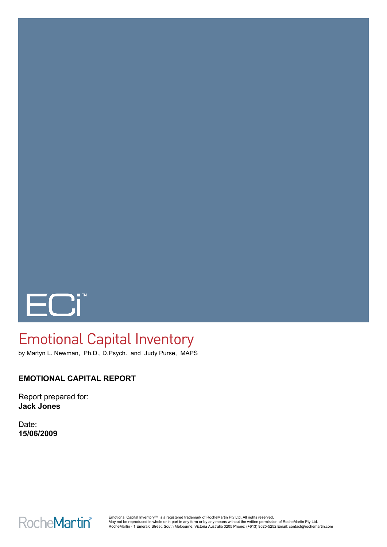

# Emotional Capital Inventory

by Martyn L. Newman, Ph.D., D.Psych. and Judy Purse, MAPS

# **EMOTIONAL CAPITAL REPORT**

Report prepared for: **Jack Jones**

Date: **15/06/2009**

**RocheMartin®**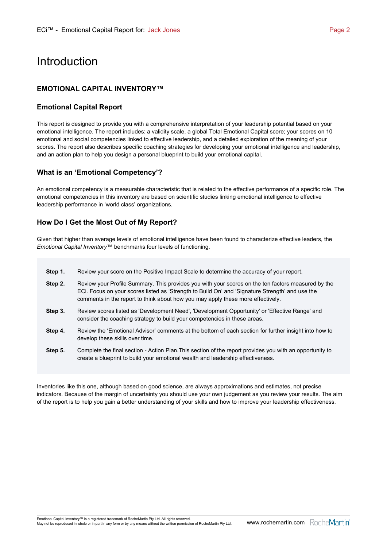# Introduction

### **EMOTIONAL CAPITAL INVENTORY™**

#### **Emotional Capital Report**

This report is designed to provide you with a comprehensive interpretation of your leadership potential based on your emotional intelligence. The report includes: a validity scale, a global Total Emotional Capital score; your scores on 10 emotional and social competencies linked to effective leadership, and a detailed exploration of the meaning of your scores. The report also describes specific coaching strategies for developing your emotional intelligence and leadership, and an action plan to help you design a personal blueprint to build your emotional capital.

#### **What is an 'Emotional Competency'?**

An emotional competency is a measurable characteristic that is related to the effective performance of a specific role. The emotional competencies in this inventory are based on scientific studies linking emotional intelligence to effective leadership performance in 'world class' organizations.

#### **How Do I Get the Most Out of My Report?**

Given that higher than average levels of emotional intelligence have been found to characterize effective leaders, the *Emotional Capital Inventory™* benchmarks four levels of functioning.

- **Step 1.** Review your score on the Positive Impact Scale to determine the accuracy of your report.
- **Step 2.** Review your Profile Summary. This provides you with your scores on the ten factors measured by the ECi. Focus on your scores listed as 'Strength to Build On' and 'Signature Strength' and use the comments in the report to think about how you may apply these more effectively.
- **Step 3.** Review scores listed as 'Development Need', 'Development Opportunity' or 'Effective Range' and consider the coaching strategy to build your competencies in these areas.
- **Step 4.** Review the 'Emotional Advisor' comments at the bottom of each section for further insight into how to develop these skills over time.
- **Step 5.** Complete the final section Action Plan.This section of the report provides you with an opportunity to create a blueprint to build your emotional wealth and leadership effectiveness.

Inventories like this one, although based on good science, are always approximations and estimates, not precise indicators. Because of the margin of uncertainty you should use your own judgement as you review your results. The aim of the report is to help you gain a better understanding of your skills and how to improve your leadership effectiveness.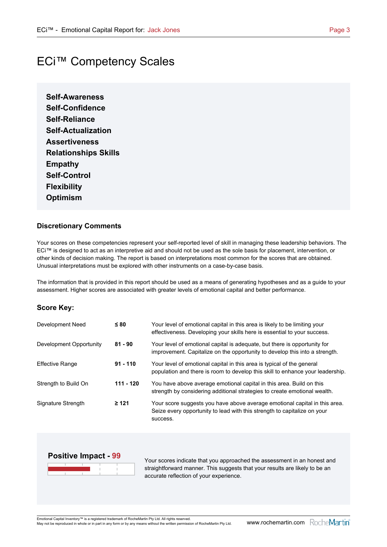# ECi™ Competency Scales

**Self-Awareness Self-Confidence Self-Reliance Self-Actualization Assertiveness Relationships Skills Empathy Self-Control Flexibility Optimism**

#### **Discretionary Comments**

Your scores on these competencies represent your self-reported level of skill in managing these leadership behaviors. The ECi™ is designed to act as an interpretive aid and should not be used as the sole basis for placement, intervention, or other kinds of decision making. The report is based on interpretations most common for the scores that are obtained. Unusual interpretations must be explored with other instruments on a case-by-case basis.

The information that is provided in this report should be used as a means of generating hypotheses and as a guide to your assessment. Higher scores are associated with greater levels of emotional capital and better performance.

#### **Score Key:**

| Development Need        | $\leq 80$   | Your level of emotional capital in this area is likely to be limiting your<br>effectiveness. Developing your skills here is essential to your success.             |
|-------------------------|-------------|--------------------------------------------------------------------------------------------------------------------------------------------------------------------|
| Development Opportunity | $81 - 90$   | Your level of emotional capital is adequate, but there is opportunity for<br>improvement. Capitalize on the opportunity to develop this into a strength.           |
| <b>Effective Range</b>  | $91 - 110$  | Your level of emotional capital in this area is typical of the general<br>population and there is room to develop this skill to enhance your leadership.           |
| Strength to Build On    | $111 - 120$ | You have above average emotional capital in this area. Build on this<br>strength by considering additional strategies to create emotional wealth.                  |
| Signature Strength      | $\geq 121$  | Your score suggests you have above average emotional capital in this area.<br>Seize every opportunity to lead with this strength to capitalize on your<br>success. |



Your scores indicate that you approached the assessment in an honest and straightforward manner. This suggests that your results are likely to be an accurate reflection of your experience.

Emotional Capital Inventory™ is a registered trademark of RocheMartin Pty Ltd. All rights reserved.

ETHOUGHAI APRISI INVERIORY "" IS A registered trademark of RocheMartin Pty Ltd. All rights reserved.<br>May not be reproduced in whole or in part in any form or by any means without the written permission of RocheMartin Pty L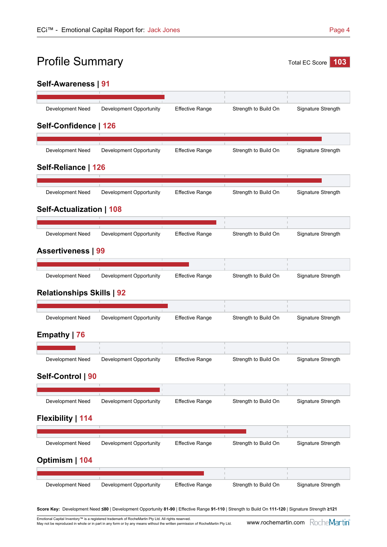# Profile Summary Total EC Score 103

# **Self-Awareness | 91**

| Development Need                 | Development Opportunity | <b>Effective Range</b> | Strength to Build On | Signature Strength |
|----------------------------------|-------------------------|------------------------|----------------------|--------------------|
| Self-Confidence   126            |                         |                        |                      |                    |
|                                  |                         |                        |                      |                    |
| Development Need                 | Development Opportunity | <b>Effective Range</b> | Strength to Build On | Signature Strength |
| Self-Reliance   126              |                         |                        |                      |                    |
| Development Need                 | Development Opportunity | <b>Effective Range</b> | Strength to Build On | Signature Strength |
| <b>Self-Actualization   108</b>  |                         |                        |                      |                    |
| Development Need                 | Development Opportunity | <b>Effective Range</b> |                      | Signature Strength |
|                                  |                         |                        | Strength to Build On |                    |
| <b>Assertiveness   99</b>        |                         |                        |                      |                    |
| Development Need                 | Development Opportunity | <b>Effective Range</b> | Strength to Build On | Signature Strength |
|                                  |                         |                        |                      |                    |
| <b>Relationships Skills   92</b> |                         |                        |                      |                    |
| Development Need                 | Development Opportunity | <b>Effective Range</b> | Strength to Build On | Signature Strength |
| Empathy   76                     |                         |                        |                      |                    |
|                                  |                         |                        |                      |                    |
| Development Need                 | Development Opportunity | <b>Effective Range</b> | Strength to Build On | Signature Strength |
| Self-Control   90                |                         |                        |                      |                    |
|                                  |                         |                        |                      |                    |
| Development Need                 | Development Opportunity | <b>Effective Range</b> | Strength to Build On | Signature Strength |
| Flexibility   114                |                         |                        |                      |                    |
|                                  |                         |                        |                      |                    |
| Development Need                 | Development Opportunity | <b>Effective Range</b> | Strength to Build On | Signature Strength |
| Optimism   104                   |                         |                        |                      |                    |
| Development Need                 | Development Opportunity | <b>Effective Range</b> | Strength to Build On | Signature Strength |
|                                  |                         |                        |                      |                    |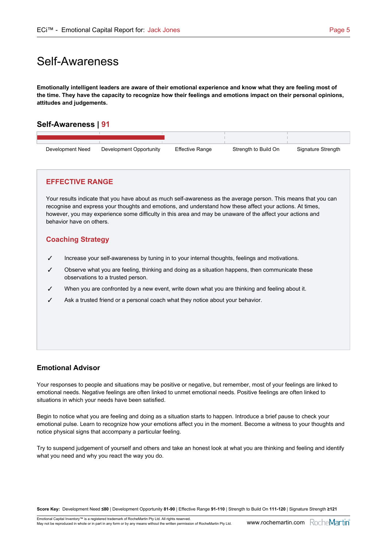# Self-Awareness

**Emotionally intelligent leaders are aware of their emotional experience and know what they are feeling most of the time. They have the capacity to recognize how their feelings and emotions impact on their personal opinions, attitudes and judgements.**

# **Self-Awareness | 91**

| Development Need | Development Opportunity | <b>Effective Range</b> | Strength to Build On | Signature Strength |
|------------------|-------------------------|------------------------|----------------------|--------------------|

### **EFFECTIVE RANGE**

Your results indicate that you have about as much self-awareness as the average person. This means that you can recognise and express your thoughts and emotions, and understand how these affect your actions. At times, however, you may experience some difficulty in this area and may be unaware of the affect your actions and behavior have on others.

# **Coaching Strategy**

- $\checkmark$  Increase your self-awareness by tuning in to your internal thoughts, feelings and motivations.
- Observe what you are feeling, thinking and doing as a situation happens, then communicate these observations to a trusted person.
- When you are confronted by a new event, write down what you are thinking and feeling about it.
- Ask a trusted friend or a personal coach what they notice about your behavior.

# **Emotional Advisor**

Your responses to people and situations may be positive or negative, but remember, most of your feelings are linked to emotional needs. Negative feelings are often linked to unmet emotional needs. Positive feelings are often linked to situations in which your needs have been satisfied.

Begin to notice what you are feeling and doing as a situation starts to happen. Introduce a brief pause to check your emotional pulse. Learn to recognize how your emotions affect you in the moment. Become a witness to your thoughts and notice physical signs that accompany a particular feeling.

Try to suspend judgement of yourself and others and take an honest look at what you are thinking and feeling and identify what you need and why you react the way you do.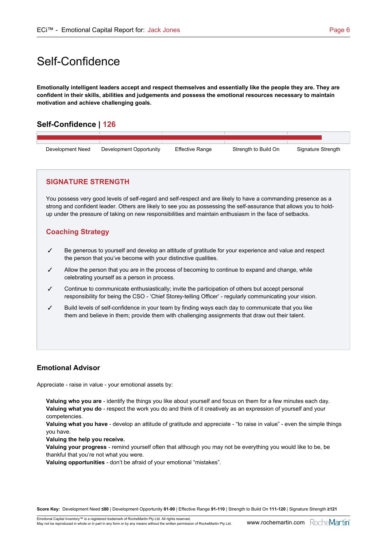# Self-Confidence

**Emotionally intelligent leaders accept and respect themselves and essentially like the people they are. They are confident in their skills, abilities and judgements and possess the emotional resources necessary to maintain motivation and achieve challenging goals.**

# **Self-Confidence | 126**



### **SIGNATURE STRENGTH**

You possess very good levels of self-regard and self-respect and are likely to have a commanding presence as a strong and confident leader. Others are likely to see you as possessing the self-assurance that allows you to holdup under the pressure of taking on new responsibilities and maintain enthusiasm in the face of setbacks.

# **Coaching Strategy**

- $\checkmark$  Be generous to yourself and develop an attitude of gratitude for your experience and value and respect the person that you've become with your distinctive qualities.
- Allow the person that you are in the process of becoming to continue to expand and change, while celebrating yourself as a person in process.
- Continue to communicate enthusiastically; invite the participation of others but accept personal responsibility for being the CSO - 'Chief Storey-telling Officer' - regularly communicating your vision.
- $\checkmark$  Build levels of self-confidence in your team by finding ways each day to communicate that you like them and believe in them; provide them with challenging assignments that draw out their talent.

# **Emotional Advisor**

Appreciate - raise in value - your emotional assets by:

**Valuing who you are** - identify the things you like about yourself and focus on them for a few minutes each day. **Valuing what you do** - respect the work you do and think of it creatively as an expression of yourself and your competencies.

**Valuing what you have** - develop an attitude of gratitude and appreciate - "to raise in value" - even the simple things you have.

**Valuing the help you receive.**

**Valuing your progress** - remind yourself often that although you may not be everything you would like to be, be thankful that you're not what you were.

**Valuing opportunities** - don't be afraid of your emotional "mistakes".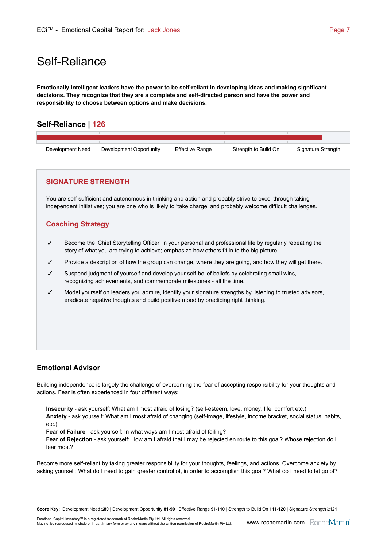# Self-Reliance

**Emotionally intelligent leaders have the power to be self-reliant in developing ideas and making significant decisions. They recognize that they are a complete and self-directed person and have the power and responsibility to choose between options and make decisions.**

# **Self-Reliance | 126**



### **SIGNATURE STRENGTH**

You are self-sufficient and autonomous in thinking and action and probably strive to excel through taking independent initiatives; you are one who is likely to 'take charge' and probably welcome difficult challenges.

### **Coaching Strategy**

- $\checkmark$  Become the 'Chief Storytelling Officer' in your personal and professional life by regularly repeating the story of what you are trying to achieve; emphasize how others fit in to the big picture.
- Provide a description of how the group can change, where they are going, and how they will get there.
- Suspend judgment of yourself and develop your self-belief beliefs by celebrating small wins, recognizing achievements, and commemorate milestones - all the time.
- $\checkmark$  Model yourself on leaders you admire, identify your signature strengths by listening to trusted advisors, eradicate negative thoughts and build positive mood by practicing right thinking.

### **Emotional Advisor**

Building independence is largely the challenge of overcoming the fear of accepting responsibility for your thoughts and actions. Fear is often experienced in four different ways:

**Insecurity** - ask yourself: What am I most afraid of losing? (self-esteem, love, money, life, comfort etc.) **Anxiety** - ask yourself: What am I most afraid of changing (self-image, lifestyle, income bracket, social status, habits, etc.)

**Fear of Failure** - ask yourself: In what ways am I most afraid of failing?

**Fear of Rejection** - ask yourself: How am I afraid that I may be rejected en route to this goal? Whose rejection do I fear most?

Become more self-reliant by taking greater responsibility for your thoughts, feelings, and actions. Overcome anxiety by asking yourself: What do I need to gain greater control of, in order to accomplish this goal? What do I need to let go of?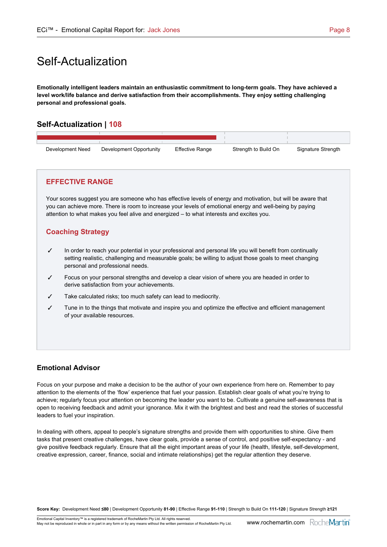# Self-Actualization

**Emotionally intelligent leaders maintain an enthusiastic commitment to long-term goals. They have achieved a level work/life balance and derive satisfaction from their accomplishments. They enjoy setting challenging personal and professional goals.**

# **Self-Actualization | 108**

| Development Need | Development Opportunity | <b>Effective Range</b> | Strength to Build On | Signature Strength |
|------------------|-------------------------|------------------------|----------------------|--------------------|

### **EFFECTIVE RANGE**

Your scores suggest you are someone who has effective levels of energy and motivation, but will be aware that you can achieve more. There is room to increase your levels of emotional energy and well-being by paying attention to what makes you feel alive and energized – to what interests and excites you.

# **Coaching Strategy**

- $\checkmark$  In order to reach your potential in your professional and personal life you will benefit from continually setting realistic, challenging and measurable goals; be willing to adjust those goals to meet changing personal and professional needs.
- Focus on your personal strengths and develop a clear vision of where you are headed in order to derive satisfaction from your achievements.
- Take calculated risks; too much safety can lead to mediocrity.
- Tune in to the things that motivate and inspire you and optimize the effective and efficient management of your available resources.

### **Emotional Advisor**

Focus on your purpose and make a decision to be the author of your own experience from here on. Remember to pay attention to the elements of the 'flow' experience that fuel your passion. Establish clear goals of what you're trying to achieve; regularly focus your attention on becoming the leader you want to be. Cultivate a genuine self-awareness that is open to receiving feedback and admit your ignorance. Mix it with the brightest and best and read the stories of successful leaders to fuel your inspiration.

In dealing with others, appeal to people's signature strengths and provide them with opportunities to shine. Give them tasks that present creative challenges, have clear goals, provide a sense of control, and positive self-expectancy - and give positive feedback regularly. Ensure that all the eight important areas of your life (health, lifestyle, self-development, creative expression, career, finance, social and intimate relationships) get the regular attention they deserve.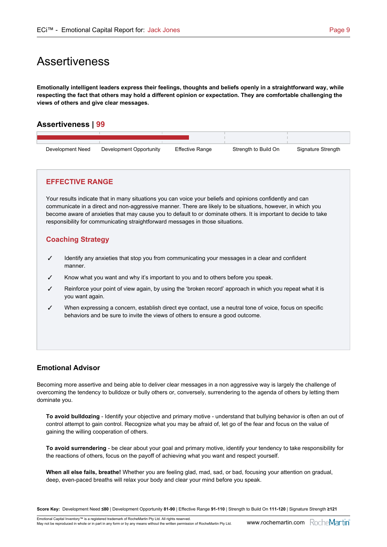# Assertiveness

**Emotionally intelligent leaders express their feelings, thoughts and beliefs openly in a straightforward way, while respecting the fact that others may hold a different opinion or expectation. They are comfortable challenging the views of others and give clear messages.**

# **Assertiveness | 99**

| Development Need | Development Opportunity | Effective Range | Strength to Build On | Signature Strength |  |
|------------------|-------------------------|-----------------|----------------------|--------------------|--|

### **EFFECTIVE RANGE**

Your results indicate that in many situations you can voice your beliefs and opinions confidently and can communicate in a direct and non-aggressive manner. There are likely to be situations, however, in which you become aware of anxieties that may cause you to default to or dominate others. It is important to decide to take responsibility for communicating straightforward messages in those situations.

# **Coaching Strategy**

- $\checkmark$  Identify any anxieties that stop you from communicating your messages in a clear and confident manner.
- Know what you want and why it's important to you and to others before you speak.
- Reinforce your point of view again, by using the 'broken record' approach in which you repeat what it is you want again.
- When expressing a concern, establish direct eye contact, use a neutral tone of voice, focus on specific behaviors and be sure to invite the views of others to ensure a good outcome.

### **Emotional Advisor**

Becoming more assertive and being able to deliver clear messages in a non aggressive way is largely the challenge of overcoming the tendency to bulldoze or bully others or, conversely, surrendering to the agenda of others by letting them dominate you.

**To avoid bulldozing** - Identify your objective and primary motive - understand that bullying behavior is often an out of control attempt to gain control. Recognize what you may be afraid of, let go of the fear and focus on the value of gaining the willing cooperation of others.

**To avoid surrendering** - be clear about your goal and primary motive, identify your tendency to take responsibility for the reactions of others, focus on the payoff of achieving what you want and respect yourself.

**When all else fails, breathe!** Whether you are feeling glad, mad, sad, or bad, focusing your attention on gradual, deep, even-paced breaths will relax your body and clear your mind before you speak.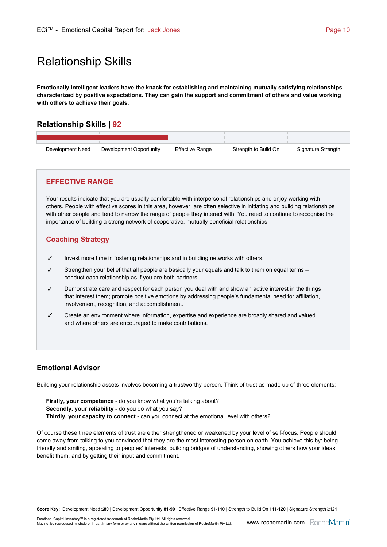# Relationship Skills

**Emotionally intelligent leaders have the knack for establishing and maintaining mutually satisfying relationships characterized by positive expectations. They can gain the support and commitment of others and value working with others to achieve their goals.**

# **Relationship Skills | 92**

| Development Need | Development Opportunity | <b>Effective Range</b> | Strength to Build On | Signature Strength |
|------------------|-------------------------|------------------------|----------------------|--------------------|

### **EFFECTIVE RANGE**

Your results indicate that you are usually comfortable with interpersonal relationships and enjoy working with others. People with effective scores in this area, however, are often selective in initiating and building relationships with other people and tend to narrow the range of people they interact with. You need to continue to recognise the importance of building a strong network of cooperative, mutually beneficial relationships.

### **Coaching Strategy**

- $\checkmark$  Invest more time in fostering relationships and in building networks with others.
- Strengthen your belief that all people are basically your equals and talk to them on equal terms conduct each relationship as if you are both partners.
- $\checkmark$  Demonstrate care and respect for each person you deal with and show an active interest in the things that interest them; promote positive emotions by addressing people's fundamental need for affiliation, involvement, recognition, and accomplishment.
- 3 Create an environment where information, expertise and experience are broadly shared and valued and where others are encouraged to make contributions.

### **Emotional Advisor**

Building your relationship assets involves becoming a trustworthy person. Think of trust as made up of three elements:

Firstly, your competence - do you know what you're talking about? **Secondly, your reliability** - do you do what you say? **Thirdly, your capacity to connect** - can you connect at the emotional level with others?

Of course these three elements of trust are either strengthened or weakened by your level of self-focus. People should come away from talking to you convinced that they are the most interesting person on earth. You achieve this by: being friendly and smiling, appealing to peoples' interests, building bridges of understanding, showing others how your ideas benefit them, and by getting their input and commitment.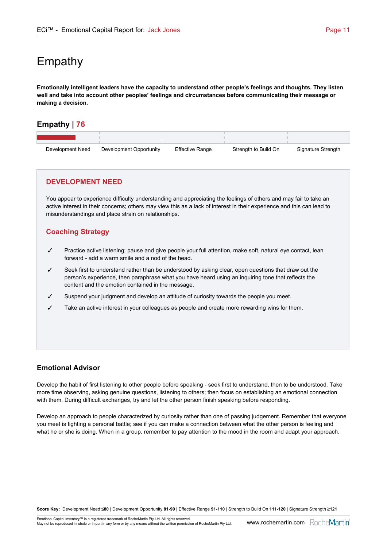# Empathy

**Emotionally intelligent leaders have the capacity to understand other people's feelings and thoughts. They listen well and take into account other peoples' feelings and circumstances before communicating their message or making a decision.**

# **Empathy | 76**

| Development Need | Development Opportunity | <b>Effective Range</b> | Strength to Build On | Signature Strength |
|------------------|-------------------------|------------------------|----------------------|--------------------|

### **DEVELOPMENT NEED**

You appear to experience difficulty understanding and appreciating the feelings of others and may fail to take an active interest in their concerns; others may view this as a lack of interest in their experience and this can lead to misunderstandings and place strain on relationships.

# **Coaching Strategy**

- $\checkmark$  Practice active listening: pause and give people your full attention, make soft, natural eye contact, lean forward - add a warm smile and a nod of the head.
- Seek first to understand rather than be understood by asking clear, open questions that draw out the person's experience, then paraphrase what you have heard using an inquiring tone that reflects the content and the emotion contained in the message.
- Suspend your judgment and develop an attitude of curiosity towards the people you meet.
- Take an active interest in your colleagues as people and create more rewarding wins for them.

### **Emotional Advisor**

Develop the habit of first listening to other people before speaking - seek first to understand, then to be understood. Take more time observing, asking genuine questions, listening to others; then focus on establishing an emotional connection with them. During difficult exchanges, try and let the other person finish speaking before responding.

Develop an approach to people characterized by curiosity rather than one of passing judgement. Remember that everyone you meet is fighting a personal battle; see if you can make a connection between what the other person is feeling and what he or she is doing. When in a group, remember to pay attention to the mood in the room and adapt your approach.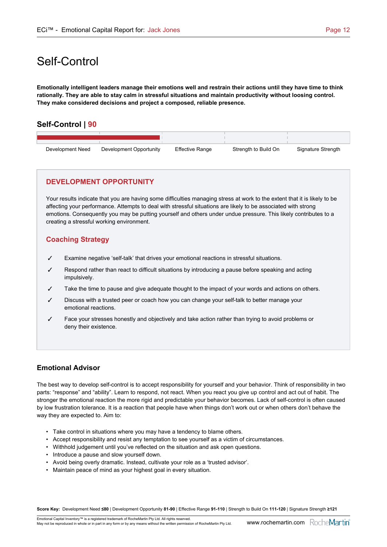# Self-Control

**Emotionally intelligent leaders manage their emotions well and restrain their actions until they have time to think rationally. They are able to stay calm in stressful situations and maintain productivity without loosing control. They make considered decisions and project a composed, reliable presence.**

# **Self-Control | 90**

| Development Need | Development Opportunity | <b>Effective Range</b> | Strength to Build On | Signature Strength |
|------------------|-------------------------|------------------------|----------------------|--------------------|

### **DEVELOPMENT OPPORTUNITY**

Your results indicate that you are having some difficulties managing stress at work to the extent that it is likely to be affecting your performance. Attempts to deal with stressful situations are likely to be associated with strong emotions. Consequently you may be putting yourself and others under undue pressure. This likely contributes to a creating a stressful working environment.

# **Coaching Strategy**

- $\checkmark$  Examine negative 'self-talk' that drives your emotional reactions in stressful situations.
- Respond rather than react to difficult situations by introducing a pause before speaking and acting impulsively.
- Take the time to pause and give adequate thought to the impact of your words and actions on others.
- Discuss with a trusted peer or coach how you can change your self-talk to better manage your emotional reactions.
- Face your stresses honestly and objectively and take action rather than trying to avoid problems or deny their existence.

### **Emotional Advisor**

The best way to develop self-control is to accept responsibility for yourself and your behavior. Think of responsibility in two parts: "response" and "ability". Learn to respond, not react. When you react you give up control and act out of habit. The stronger the emotional reaction the more rigid and predictable your behavior becomes. Lack of self-control is often caused by low frustration tolerance. It is a reaction that people have when things don't work out or when others don't behave the way they are expected to. Aim to:

- Take control in situations where you may have a tendency to blame others.
- Accept responsibility and resist any temptation to see yourself as a victim of circumstances.
- Withhold judgement until you've reflected on the situation and ask open questions.
- Introduce a pause and slow yourself down.
- Avoid being overly dramatic. Instead, cultivate your role as a 'trusted advisor'.
- Maintain peace of mind as your highest goal in every situation.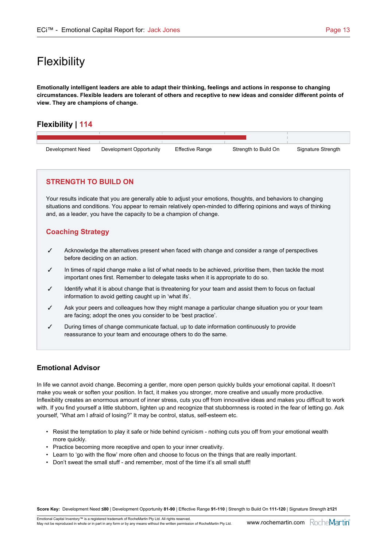# **Flexibility**

**Emotionally intelligent leaders are able to adapt their thinking, feelings and actions in response to changing circumstances. Flexible leaders are tolerant of others and receptive to new ideas and consider different points of view. They are champions of change.**

# **Flexibility | 114**

| Development Need | Development Opportunity | <b>Effective Range</b> | Strength to Build On | Signature Strength |
|------------------|-------------------------|------------------------|----------------------|--------------------|

# **STRENGTH TO BUILD ON**

Your results indicate that you are generally able to adjust your emotions, thoughts, and behaviors to changing situations and conditions. You appear to remain relatively open-minded to differing opinions and ways of thinking and, as a leader, you have the capacity to be a champion of change.

# **Coaching Strategy**

- $\checkmark$  Acknowledge the alternatives present when faced with change and consider a range of perspectives before deciding on an action.
- In times of rapid change make a list of what needs to be achieved, prioritise them, then tackle the most important ones first. Remember to delegate tasks when it is appropriate to do so.
- Identify what it is about change that is threatening for your team and assist them to focus on factual information to avoid getting caught up in 'what ifs'.
- Ask your peers and colleagues how they might manage a particular change situation you or your team are facing; adopt the ones you consider to be 'best practice'.
- During times of change communicate factual, up to date information continuously to provide reassurance to your team and encourage others to do the same.

# **Emotional Advisor**

In life we cannot avoid change. Becoming a gentler, more open person quickly builds your emotional capital. It doesn't make you weak or soften your position. In fact, it makes you stronger, more creative and usually more productive. Inflexibility creates an enormous amount of inner stress, cuts you off from innovative ideas and makes you difficult to work with. If you find yourself a little stubborn, lighten up and recognize that stubbornness is rooted in the fear of letting go. Ask yourself, "What am I afraid of losing?" It may be control, status, self-esteem etc.

- Resist the temptation to play it safe or hide behind cynicism nothing cuts you off from your emotional wealth more quickly.
- Practice becoming more receptive and open to your inner creativity.
- Learn to 'go with the flow' more often and choose to focus on the things that are really important.
- Don't sweat the small stuff and remember, most of the time it's all small stuff!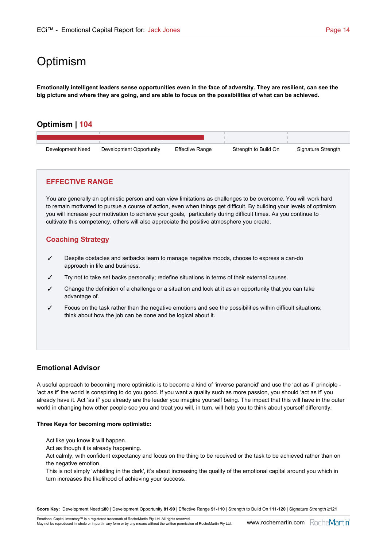# **Optimism**

**Emotionally intelligent leaders sense opportunities even in the face of adversity. They are resilient, can see the big picture and where they are going, and are able to focus on the possibilities of what can be achieved.**

# **Optimism | 104**

| Development Need | Development Opportunity | <b>Effective Range</b> | Strength to Build On | Signature Strength |  |
|------------------|-------------------------|------------------------|----------------------|--------------------|--|

### **EFFECTIVE RANGE**

You are generally an optimistic person and can view limitations as challenges to be overcome. You will work hard to remain motivated to pursue a course of action, even when things get difficult. By building your levels of optimism you will increase your motivation to achieve your goals, particularly during difficult times. As you continue to cultivate this competency, others will also appreciate the positive atmosphere you create.

### **Coaching Strategy**

- $\checkmark$  Despite obstacles and setbacks learn to manage negative moods, choose to express a can-do approach in life and business.
- Try not to take set backs personally; redefine situations in terms of their external causes.
- Change the definition of a challenge or a situation and look at it as an opportunity that you can take advantage of.
- $\checkmark$  Focus on the task rather than the negative emotions and see the possibilities within difficult situations; think about how the job can be done and be logical about it.

### **Emotional Advisor**

A useful approach to becoming more optimistic is to become a kind of 'inverse paranoid' and use the 'act as if' principle - 'act as if' the world is conspiring to do you good. If you want a quality such as more passion, you should 'act as if' you already have it. Act 'as if' you already are the leader you imagine yourself being. The impact that this will have in the outer world in changing how other people see you and treat you will, in turn, will help you to think about yourself differently.

#### **Three Keys for becoming more optimistic:**

- Act like you know it will happen.
- Act as though it is already happening.

Act calmly, with confident expectancy and focus on the thing to be received or the task to be achieved rather than on the negative emotion.

This is not simply 'whistling in the dark', it's about increasing the quality of the emotional capital around you which in turn increases the likelihood of achieving your success.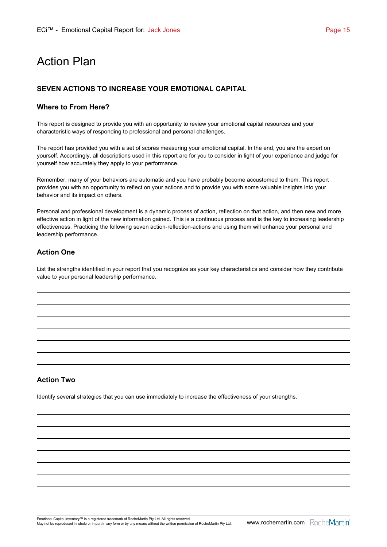# Action Plan

# **SEVEN ACTIONS TO INCREASE YOUR EMOTIONAL CAPITAL**

#### **Where to From Here?**

This report is designed to provide you with an opportunity to review your emotional capital resources and your characteristic ways of responding to professional and personal challenges.

The report has provided you with a set of scores measuring your emotional capital. In the end, you are the expert on yourself. Accordingly, all descriptions used in this report are for you to consider in light of your experience and judge for yourself how accurately they apply to your performance.

Remember, many of your behaviors are automatic and you have probably become accustomed to them. This report provides you with an opportunity to reflect on your actions and to provide you with some valuable insights into your behavior and its impact on others.

Personal and professional development is a dynamic process of action, reflection on that action, and then new and more effective action in light of the new information gained. This is a continuous process and is the key to increasing leadership effectiveness. Practicing the following seven action-reflection-actions and using them will enhance your personal and leadership performance.

# **Action One**

List the strengths identified in your report that you recognize as your key characteristics and consider how they contribute value to your personal leadership performance.

### **Action Two**

Identify several strategies that you can use immediately to increase the effectiveness of your strengths.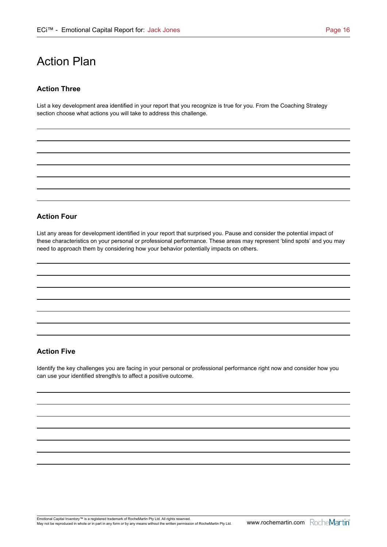# Action Plan

### **Action Three**

List a key development area identified in your report that you recognize is true for you. From the Coaching Strategy section choose what actions you will take to address this challenge.

#### **Action Four**

List any areas for development identified in your report that surprised you. Pause and consider the potential impact of these characteristics on your personal or professional performance. These areas may represent 'blind spots' and you may need to approach them by considering how your behavior potentially impacts on others.

### **Action Five**

Identify the key challenges you are facing in your personal or professional performance right now and consider how you can use your identified strength/s to affect a positive outcome.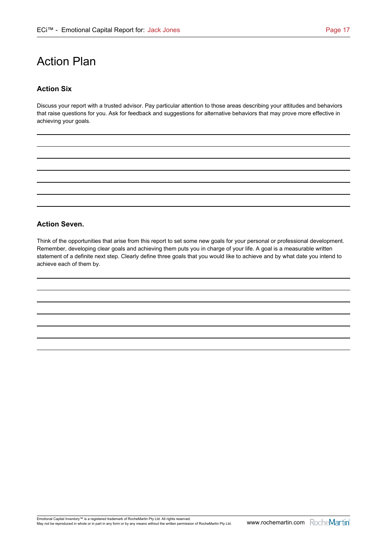# Action Plan

#### **Action Six**

Discuss your report with a trusted advisor. Pay particular attention to those areas describing your attitudes and behaviors that raise questions for you. Ask for feedback and suggestions for alternative behaviors that may prove more effective in achieving your goals.

#### **Action Seven.**

Think of the opportunities that arise from this report to set some new goals for your personal or professional development. Remember, developing clear goals and achieving them puts you in charge of your life. A goal is a measurable written statement of a definite next step. Clearly define three goals that you would like to achieve and by what date you intend to achieve each of them by.